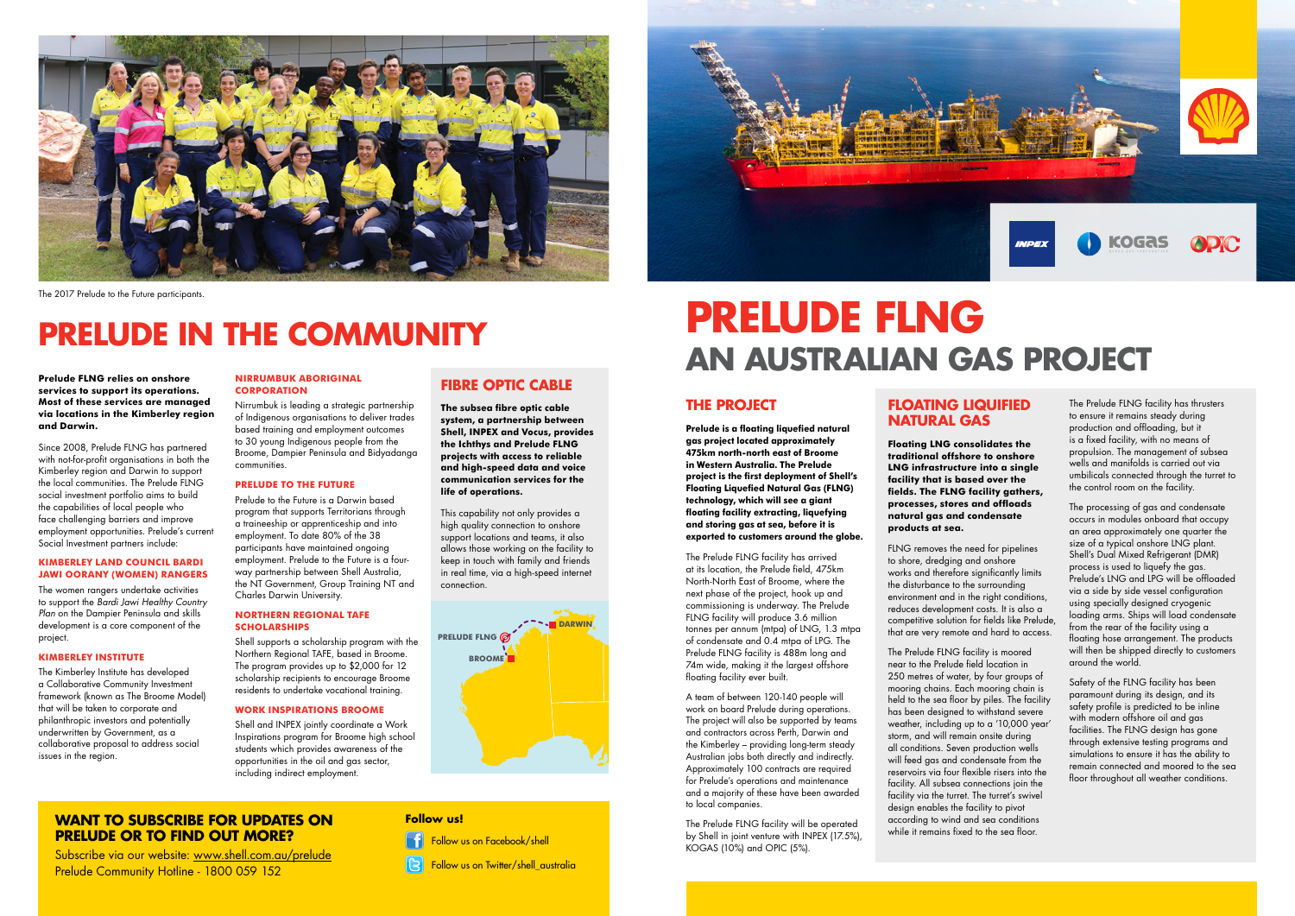## **WANT TO SUBSCRIBE FOR UPDATES ON PRELUDE OR TO FIND OUT MORE?**

Subscribe via our website: www.shell.com.au/prelude Prelude Community Hotline - 1800 059 152

### **Follow us!**

**Follow us on Facebook/shell** 

Follow us on Twitter/shell\_australia



# **PRELUDE FLNG AN AUSTRALIAN GAS PROJECT**

## **THE PROJECT**

**Prelude is a floating liquefied natural gas project located approximately 475km north-north east of Broome in Western Australia. The Prelude project is the first deployment of Shell's Floating Liquefied Natural Gas (FLNG) technology, which will see a giant floating facility extracting, liquefying and storing gas at sea, before it is exported to customers around the globe.** 

The Prelude FLNG facility has arrived at its location, the Prelude field, 475km North-North East of Broome, where the next phase of the project, hook up and commissioning is underway. The Prelude FLNG facility will produce 3.6 million tonnes per annum (mtpa) of LNG, 1.3 mtpa of condensate and 0.4 mtpa of LPG. The Prelude FLNG facility is 488m long and 74m wide, making it the largest offshore floating facility ever built.

A team of between 120-140 people will work on board Prelude during operations. The project will also be supported by teams and contractors across Perth, Darwin and the Kimberley – providing long-term steady Australian jobs both directly and indirectly. Approximately 100 contracts are required for Prelude's operations and maintenance and a majority of these have been awarded to local companies.

The Prelude FLNG facility will be operated by Shell in joint venture with INPEX (17.5%), KOGAS (10%) and OPIC (5%).

**Prelude FLNG relies on onshore services to support its operations. Most of these services are managed via locations in the Kimberley region and Darwin.** 

Since 2008, Prelude FLNG has partnered with not-for-profit organisations in both the Kimberley region and Darwin to support the local communities. The Prelude FLNG social investment portfolio aims to build the capabilities of local people who face challenging barriers and improve employment opportunities. Prelude's current Social Investment partners include:

### **KIMBERLEY LAND COUNCIL BARDI JAWI OORANY (WOMEN) RANGERS**

The women rangers undertake activities to support the *Bardi Jawi Healthy Country Plan* on the Dampier Peninsula and skills development is a core component of the project.

### **KIMBERLEY INSTITUTE**

The Prelude FLNG facility is moored near to the Prelude field location in 250 metres of water, by four groups of mooring chains. Each mooring chain is held to the sea floor by piles. The facility has been designed to withstand severe weather, including up to a '10,000 year' storm, and will remain onsite during all conditions. Seven production wells will feed gas and condensate from the reservoirs via four flexible risers into the facility. All subsea connections join the facility via the turret. The turret's swivel design enables the facility to pivot according to wind and sea conditions while it remains fixed to the sea floor.

The Kimberley Institute has developed a Collaborative Community Investment framework (known as The Broome Model) that will be taken to corporate and philanthropic investors and potentially underwritten by Government, as a collaborative proposal to address social issues in the region.

### **NIRRUMBUK ABORIGINAL CORPORATION**

Nirrumbuk is leading a strategic partnership of Indigenous organisations to deliver trades based training and employment outcomes to 30 young Indigenous people from the Broome, Dampier Peninsula and Bidyadanga communities.

### **PRELUDE TO THE FUTURE**

Prelude to the Future is a Darwin based program that supports Territorians through a traineeship or apprenticeship and into employment. To date 80% of the 38 participants have maintained ongoing employment. Prelude to the Future is a fourway partnership between Shell Australia, the NT Government, Group Training NT and Charles Darwin University.

### **NORTHERN REGIONAL TAFE SCHOLARSHIPS**

Shell supports a scholarship program with the Northern Regional TAFE, based in Broome. The program provides up to \$2,000 for 12 scholarship recipients to encourage Broome residents to undertake vocational training.

### **WORK INSPIRATIONS BROOME**

Shell and INPEX jointly coordinate a Work Inspirations program for Broome high school students which provides awareness of the opportunities in the oil and gas sector, including indirect employment.

# **FIBRE OPTIC CABLE**

**The subsea fibre optic cable system, a partnership between Shell, INPEX and Vocus, provides the Ichthys and Prelude FLNG projects with access to reliable and high-speed data and voice communication services for the life of operations.**

This capability not only provides a high quality connection to onshore support locations and teams, it also allows those working on the facility to keep in touch with family and friends in real time, via a high-speed internet connection.



The 2017 Prelude to the Future participants.

## **FLOATING LIQUIFIED NATURAL GAS**

**Floating LNG consolidates the traditional offshore to onshore LNG infrastructure into a single facility that is based over the fields. The FLNG facility gathers, processes, stores and offloads natural gas and condensate products at sea.** 

FLNG removes the need for pipelines to shore, dredging and onshore works and therefore significantly limits the disturbance to the surrounding environment and in the right conditions, reduces development costs. It is also a competitive solution for fields like Prelude, that are very remote and hard to access.

The Prelude FLNG facility has thrusters to ensure it remains steady during production and offloading, but it is a fixed facility, with no means of propulsion. The management of subsea wells and manifolds is carried out via umbilicals connected through the turret to the control room on the facility.

The processing of gas and condensate occurs in modules onboard that occupy an area approximately one quarter the size of a typical onshore LNG plant. Shell's Dual Mixed Refrigerant (DMR) process is used to liquefy the gas. Prelude's LNG and LPG will be offloaded via a side by side vessel configuration using specially designed cryogenic loading arms. Ships will load condensate from the rear of the facility using a floating hose arrangement. The products will then be shipped directly to customers around the world.

Safety of the FLNG facility has been paramount during its design, and its .<br>safety profile is predicted to be inline with modern offshore oil and gas facilities. The FLNG design has gone through extensive testing programs and simulations to ensure it has the ability to remain connected and moored to the sea floor throughout all weather conditions.

# **PRELUDE IN THE COMMUNITY**